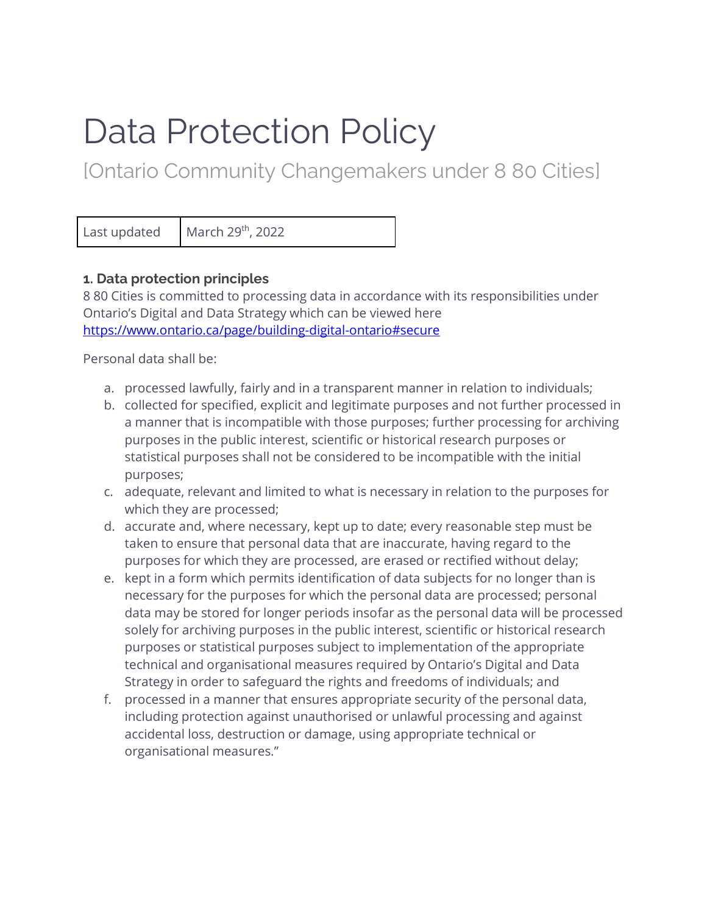# Data Protection Policy

[Ontario Community Changemakers under 8 80 Cities]

Last updated  $\blacksquare$  March 29<sup>th</sup>, 2022

# **1. Data protection principles**

8 80 Cities is committed to processing data in accordance with its responsibilities under Ontario's Digital and Data Strategy which can be viewed here <https://www.ontario.ca/page/building-digital-ontario#secure>

Personal data shall be:

- a. processed lawfully, fairly and in a transparent manner in relation to individuals;
- b. collected for specified, explicit and legitimate purposes and not further processed in a manner that is incompatible with those purposes; further processing for archiving purposes in the public interest, scientific or historical research purposes or statistical purposes shall not be considered to be incompatible with the initial purposes;
- c. adequate, relevant and limited to what is necessary in relation to the purposes for which they are processed;
- d. accurate and, where necessary, kept up to date; every reasonable step must be taken to ensure that personal data that are inaccurate, having regard to the purposes for which they are processed, are erased or rectified without delay;
- e. kept in a form which permits identification of data subjects for no longer than is necessary for the purposes for which the personal data are processed; personal data may be stored for longer periods insofar as the personal data will be processed solely for archiving purposes in the public interest, scientific or historical research purposes or statistical purposes subject to implementation of the appropriate technical and organisational measures required by Ontario's Digital and Data Strategy in order to safeguard the rights and freedoms of individuals; and
- f. processed in a manner that ensures appropriate security of the personal data, including protection against unauthorised or unlawful processing and against accidental loss, destruction or damage, using appropriate technical or organisational measures."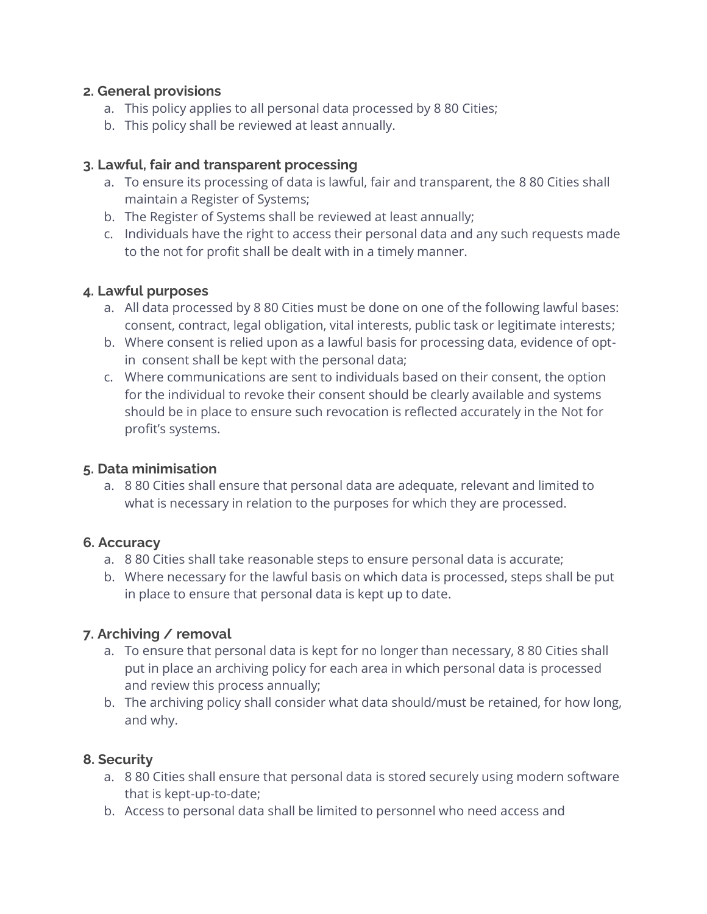## **2. General provisions**

- a. This policy applies to all personal data processed by 8 80 Cities;
- b. This policy shall be reviewed at least annually.

## **3. Lawful, fair and transparent processing**

- a. To ensure its processing of data is lawful, fair and transparent, the 8 80 Cities shall maintain a Register of Systems;
- b. The Register of Systems shall be reviewed at least annually;
- c. Individuals have the right to access their personal data and any such requests made to the not for profit shall be dealt with in a timely manner.

### **4. Lawful purposes**

- a. All data processed by 8 80 Cities must be done on one of the following lawful bases: consent, contract, legal obligation, vital interests, public task or legitimate interests;
- b. Where consent is relied upon as a lawful basis for processing data, evidence of optin consent shall be kept with the personal data;
- c. Where communications are sent to individuals based on their consent, the option for the individual to revoke their consent should be clearly available and systems should be in place to ensure such revocation is reflected accurately in the Not for profit's systems.

#### **5. Data minimisation**

a. 8 80 Cities shall ensure that personal data are adequate, relevant and limited to what is necessary in relation to the purposes for which they are processed.

## **6. Accuracy**

- a. 8 80 Cities shall take reasonable steps to ensure personal data is accurate;
- b. Where necessary for the lawful basis on which data is processed, steps shall be put in place to ensure that personal data is kept up to date.

## **7. Archiving / removal**

- a. To ensure that personal data is kept for no longer than necessary, 8 80 Cities shall put in place an archiving policy for each area in which personal data is processed and review this process annually;
- b. The archiving policy shall consider what data should/must be retained, for how long, and why.

## **8. Security**

- a. 8 80 Cities shall ensure that personal data is stored securely using modern software that is kept-up-to-date;
- b. Access to personal data shall be limited to personnel who need access and